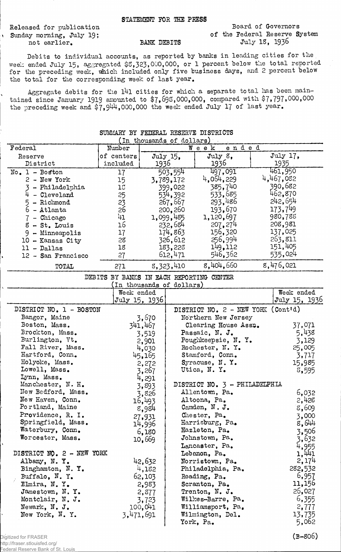Released for publication \ Sunday morning, July 19; not earlier. BANK DEBITS

Board of Governors of the Federal Reserve System July IS, 1936

Debits to individual accounts, as reported by banks in leading cities for the week ended July 15, aggregated \$3,323,000,000, or 1 percent below the total reported for the preceding week, which included only five business days, and 2 percent below the total for the corresponding week of last year.

Aggregate debits for the 141 cities for which a separate total has been maintained since January 1919 amounted to  $$7,698,000,000$ , compared with  $$7,797,000,000$ the preceding week and  $$7,944,000,000$  the week ended July 17 of last year.

| SUMMARY BY FEDERAL RESERVE DISTRICTS |                                          |               |                           |                                    |       |                  |  |  |
|--------------------------------------|------------------------------------------|---------------|---------------------------|------------------------------------|-------|------------------|--|--|
|                                      |                                          |               | (In thousands of dollars) |                                    |       |                  |  |  |
| Federal                              | Number                                   |               |                           | Week                               | ended |                  |  |  |
| Reserve<br>District                  | of centers<br>included                   | 1936          | July 15.                  | July 8,<br>1936                    |       | July 17,<br>1935 |  |  |
|                                      |                                          |               |                           | 497,091                            |       | 461,950          |  |  |
| $No. 1 - Boston$<br>2 - New York     | 17                                       |               | 503,554                   | 4,054,229                          |       | 4,467,082        |  |  |
| - Philadelphia<br>3                  | 15<br>15                                 |               | 3,789,172<br>399,022      | 385,740                            |       | 390,682          |  |  |
| $4 - C1$ eveland                     | 25                                       |               | 534,392                   | 533,685                            |       | 462,870          |  |  |
| 5 - Richmond                         | 23                                       |               | 267,667                   | 293,486                            |       | 242,654          |  |  |
| $6 -$ Atlanta                        | 26                                       |               | 200,260                   | 193,670                            |       | 173,749          |  |  |
| $7$ - Chicago                        | 41                                       |               | 1,099,485                 | 1,120,697                          |       | 980,788          |  |  |
| $8 - St.$ Louis                      | 16                                       |               | 232,684                   | 207, 274                           |       | 208,981          |  |  |
| 9 - Minneapolis                      | 17                                       |               | 174,863                   | 156,320                            |       | 137,025          |  |  |
| 10 - Kansas City                     | 28                                       |               | 326,612                   | 256,994                            |       | 263,811          |  |  |
| $11 - Dallas$                        | 18                                       |               | 183,228                   | 149,112                            |       | 151,405          |  |  |
| 12 - San Francisco                   | 27                                       |               | 612,471                   | 546,362                            |       | 535,024          |  |  |
|                                      |                                          |               | 8,323,410                 | 8,404,660                          |       | 8,476,021        |  |  |
| TOTAL                                | 271                                      |               |                           |                                    |       |                  |  |  |
|                                      | DEBITS BY BANKS IN EACH REPORTING CENTER |               |                           |                                    |       |                  |  |  |
|                                      | Week ended                               |               | In thousands of dollars)  |                                    |       | Week ended       |  |  |
|                                      |                                          | July 15, 1936 |                           |                                    |       | July 15, 1936    |  |  |
| DISTRICT NO. 1 - BOSTON              |                                          |               |                           | DISTRICT NO. 2 - NEW YORK (Cont'd) |       |                  |  |  |
| Bangor, Maine                        |                                          | 3,670         |                           | Northern New Jersey                |       |                  |  |  |
| Boston, Mass.                        |                                          | 341,467       |                           | Clearing House Assn.               |       | 37,071           |  |  |
| Brockton, Mass.                      |                                          | 3,519         |                           | Passaic, N. J.                     |       | 5,438            |  |  |
| Burlington, Vt.                      |                                          | 2,901         |                           | Poughkeepsie, N. Y.                |       | 3,129            |  |  |
| Fall River, Mass.                    |                                          | 4,030         |                           | Rochester, N.Y.                    |       | 25,005           |  |  |
| Hartford, Conn.                      |                                          | 45,165        |                           | Stamford, Conn.                    |       | 3,717            |  |  |
| Holyoke, Mass.                       |                                          | 2,272         |                           | Syracuse, N.Y.                     |       | 15,985           |  |  |
| Lowell, Mass.                        |                                          | 3,267         |                           | Utica, N.Y.                        |       | 8,595            |  |  |
| Lynn, Mass.                          |                                          | 4,291         |                           |                                    |       |                  |  |  |
| Manchester, N. H.                    |                                          | 3,893         |                           | DISTRICT NO. 3 - PHILADELPHIA      |       |                  |  |  |
| New Bedford, Mass.                   |                                          | 3,826         |                           | Allentown, Pa.                     |       | 6,032            |  |  |
| New Haven, Conn.                     |                                          | 16,493        |                           | Altoona, Pa.                       |       | 2,428            |  |  |
| Portland, Maine                      |                                          | 8,984         |                           | Camden, N. J.                      |       | 8,609            |  |  |
| Providence, R. I.                    |                                          | 27,931        |                           | Chester, Pa.                       |       | 3,000            |  |  |
| Springfield, Mass.                   |                                          | 14,996        |                           | Harrisburg, Pa.                    |       | 8,644            |  |  |
| Waterbury, Conn.                     |                                          | 6,180         |                           | Hazleton, Pa.                      |       | 3,506            |  |  |
| Worcester, Mass.                     |                                          | 10,669        |                           | Johnstown, Pa.                     |       | 3,632            |  |  |
|                                      |                                          |               |                           | Lancaster, Pa.                     |       | 4,955            |  |  |
| DISTRICT NO. 2 - NEW YORK            |                                          |               |                           | Lebanon, Pa.                       |       | 1,441            |  |  |
| Albany, N.Y.                         |                                          | 42,632        |                           | Norristown, Pa.                    |       | 2,174            |  |  |
| Binghamton, N.Y.                     |                                          | 4,182         |                           | Philadelphia, Pa.                  |       | 282,532          |  |  |
| Buffalo, N.Y.                        |                                          | 62,103        |                           | Reading, Pa.                       |       | 6,957            |  |  |
| Elmira, N.Y.                         |                                          | 2,983         |                           | Scranton, Pa.                      |       | 11,156           |  |  |
| Jamestown, N.Y.                      |                                          | 2,877         |                           | Trenton, N. J.                     |       | 26,027           |  |  |
| Montclair, N. J.                     |                                          | 3,723         |                           | Wilkes-Barre, Pa.                  |       | 6,355            |  |  |
| Newark, N. J.                        |                                          | 100,041       |                           | Williamsport, Pa.                  |       | 2,777            |  |  |
| New York, N.Y.                       |                                          | 3,471,691     |                           | Wilmington, Del.<br>York, Pa.      |       | 13,735<br>5,062  |  |  |
|                                      |                                          |               |                           |                                    |       |                  |  |  |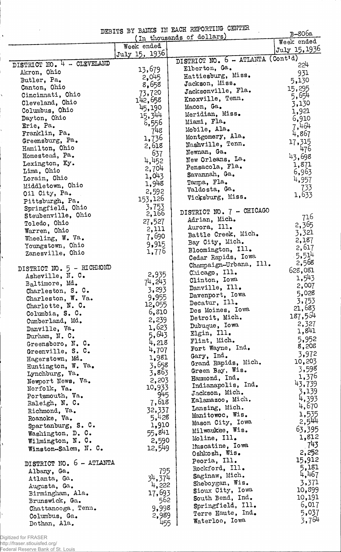|                            |                      | DEBITS BY BANKS IN EACH REPORTING CENTER | B-806a            |
|----------------------------|----------------------|------------------------------------------|-------------------|
|                            |                      | (In thousands of dollars)                | Week ended        |
|                            | Week ended           |                                          | July 15, 1936     |
|                            | July 15, 1936        |                                          |                   |
| DISTRICT NO. 4 - CLEVELAND |                      | DISTRICT NO. 6 - ATLANTA (Cont'd)        | 224               |
| Akron, Ohio                | 13,679               | Elberton, Ga.                            | 931               |
| Butler, Pa.                | 2,045                | Hattiesburg, Miss.                       | 5,130             |
| Canton, Ohio               | 8,658                | Jackson, Miss.                           | 15,295            |
| Cincinnati, Ohio           | 73,720               | Jacksonville, Fla.                       | 5,654             |
| Cleveland, Ohio            | 142,658              | Knoxville, Tenn.                         | 3,130             |
| Columbus, Ohio             | 45,190               | Macon, Ga.                               | 1,921             |
| Dayton, Ohio               | 15,344               | Meridian, Miss.                          | 6,910             |
| Erie, Pa.                  | 6,556                | Miami, Fla.                              | 7,464             |
| Franklin, Pa.              | 748                  | Mobile, Ala.                             | 4,867             |
| Greensburg, Pa.            | 1,736                | Montgomery, Ala.                         | 17,315            |
| Hamilton, Ohio             | 2,618                | Nashville, Tenn.                         | 476               |
| Homestead, Pa.             | 637                  | Newnan, Ga.                              | 43,698            |
| Lexington, Ky.             | 4,452                | New Orleans, La.                         | 1,871             |
| Lima, Ohio                 | 2,704                | Pensacola, Fla.                          | 6,963             |
| Lorain, Ohio               | 1,043                | Savannah, Ga.                            | 4,957             |
| Middletown, Ohio           | 1,948                | Tampa, Fla.                              |                   |
| Oil City, Pa.              | 2,592                | Valdosta, Ga.                            | 733               |
| Pittsburgh, Pa.            | 153,126              | Vicksburg, Miss.                         | 1,633             |
| Springfield, Ohio          | 3,753                |                                          |                   |
| Steubenville, Ohio         | 2,166                | DISTRICT NO. 7 - CHICAGO                 | 716               |
| Toledo, Ohio               | 27,527               | Adrian, Mich.                            | 2,365             |
| Warren, Ohio               | 2,111                | Aurora, Ill.                             | 3,321             |
| Wheeling, W. Va.           | 7,690                | Battle Creek, Mich.                      | 2,187             |
| Youngstown, Ohio           | 9,915                | Bay City, Mich.                          | 2,617             |
| Zanesville, Ohio           | 1,776                | Bloomington, Ill.                        |                   |
|                            |                      | Cedar Rapids, Iowa                       | $-5,514$<br>2,568 |
| DISTRICT NO. 5 - RICHMOND  |                      | Champaign-Urbana, Ill.                   | 628,081           |
| Asheville, N. C.           | 2,935                | Chicago, Ill.                            | 1,543             |
| Baltimore, Md.             | $7^{14}$ , $2^{14}3$ | Clinton, Iowa                            |                   |
| Charleston, S. C.          | 3,293                | Danville, Ill.                           | 2,007             |
| Charleston, W. Va.         | 9,955                | Davenport, Iowa                          | 5,028<br>3,753    |
| Charlotte, N. C.           | 12,055               | Decatur, Ill.                            |                   |
| Columbia, S. C.            | 6,810                | Des Moines, Iowa                         | 21,683            |
| Cumberland, Md.            | 2,239                | Detroit, Mich.                           | 187,564           |
| Danville, Va.              | 1,623                | Dubuque, Iowa                            | 2,327<br>1,841    |
| Durham, $N. C.$            | 5,643                | Elgin, Ill.                              |                   |
| Greensboro, N. C.          | 4,218                | Flint, Mich.                             | 5,952             |
| Greenville, S. C.          | 4,707                | Fort Wayne, Ind.                         | 8,208             |
| Hagerstown, Md.            | 1,981                | Gary, Ind.                               | 3,972             |
| Huntington, W. Va.         | 3,658                | Grand Rapids, Mich.                      | 10,203            |
| Lynchburg, Va.             | 3,863                | Green Bay, Wis.                          | 3,598             |
| Newport News, Va.          | 2,203                | Hammond, Ind.                            | 1,376<br>43,739   |
| Norfolk, Va.               | 10,933               | Indianapolis, Ind.                       | 3,139             |
| Portsmouth, Va.            | 945                  | Jackson, Mich.                           | 4,393             |
| Raleigh, N. C.             | 7,618                | Kalamazoo, Mich.                         | 4,670             |
| Richmond, Va.              | 32,337               | Lansing, Mich.                           | 1,535             |
| Roanoke, Va.               | 5,428                | Manitowoc, Wis.                          | 2,544             |
| Spartanburg, S. C.         | 1,910                | Mason City, Iowa                         | 63,395            |
| Washington, D. C.          | 55,841               | Milwaukee, Wis.                          | 1,812             |
| Wilmington, N. C.          | 2,590                | Moline, Ill.                             | 743               |
| Winston-Salem, N. C.       | 12,549               | Muscatine, Iowa                          |                   |
|                            |                      | Oshkosh, Wis.                            | 2,252<br>15,912   |
| DISTRICT NO. 6 - ATLANTA   |                      | Peoria, Ill.                             | 5,181             |
| Albany, Ga.                | 795                  | Rockford, Ill.                           |                   |
| Atlanta, Ga.               | 34,374               | Saginaw, Mich.                           | 4,467<br>3,371    |
| Augusta, Ga.               | 4,222                | Sheboygan, Wis.                          | 10,899            |
| Birmingham, Ala.           | 17,693               | Sioux City, Iowa                         | 10,191            |
| Brunswick, Ga.             | 562                  | South Bend, Ind.                         | 6,017             |
| Chattanooga, Tenn.         | 9,998                | Springfield, Ill.                        | 5,037             |
| Columbus, Ga.              | 2,989                | Terre Haute, Ind.                        | 3,764             |
| Dothan, Ala.               | 455                  | Waterloo, Iowa                           |                   |

Digitized for FRASER http://fraser.stlouisfed.org/

 $\mathbf{I}$ 

 $\ddot{\phantom{1}}$